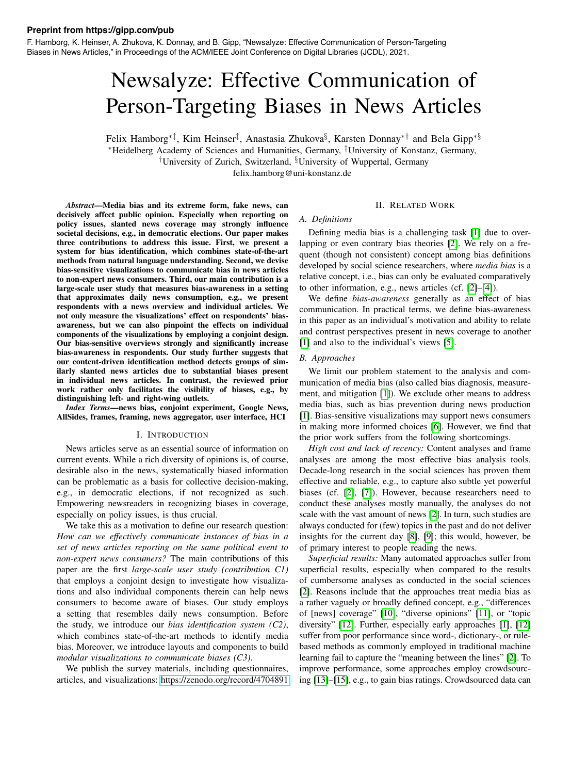#### **Preprint from https://gipp.com/pub**

F. Hamborg, K. Heinser, A. Zhukova, K. Donnay, and B. Gipp, "Newsalyze: Effective Communication of Person-Targeting Biases in News Articles," in Proceedings of the ACM/IEEE Joint Conference on Digital Libraries (JCDL), 2021.

# Newsalyze: Effective Communication of Person-Targeting Biases in News Articles

Felix Hamborg⇤*‡*, Kim Heinser*‡*, Anastasia Zhukova*§*, Karsten Donnay⇤*†* and Bela Gipp⇤*§* ⇤Heidelberg Academy of Sciences and Humanities, Germany, *‡*University of Konstanz, Germany, *†*University of Zurich, Switzerland, *§*University of Wuppertal, Germany

felix.hamborg@uni-konstanz.de

*Abstract*—Media bias and its extreme form, fake news, can decisively affect public opinion. Especially when reporting on policy issues, slanted news coverage may strongly influence societal decisions, e.g., in democratic elections. Our paper makes three contributions to address this issue. First, we present a system for bias identification, which combines state-of-the-art methods from natural language understanding. Second, we devise bias-sensitive visualizations to communicate bias in news articles to non-expert news consumers. Third, our main contribution is a large-scale user study that measures bias-awareness in a setting that approximates daily news consumption, e.g., we present respondents with a news overview and individual articles. We not only measure the visualizations' effect on respondents' biasawareness, but we can also pinpoint the effects on individual components of the visualizations by employing a conjoint design. Our bias-sensitive overviews strongly and significantly increase bias-awareness in respondents. Our study further suggests that our content-driven identification method detects groups of similarly slanted news articles due to substantial biases present in individual news articles. In contrast, the reviewed prior work rather only facilitates the visibility of biases, e.g., by distinguishing left- and right-wing outlets.

*Index Terms*—news bias, conjoint experiment, Google News, AllSides, frames, framing, news aggregator, user interface, HCI

#### I. INTRODUCTION

News articles serve as an essential source of information on current events. While a rich diversity of opinions is, of course, desirable also in the news, systematically biased information can be problematic as a basis for collective decision-making, e.g., in democratic elections, if not recognized as such. Empowering newsreaders in recognizing biases in coverage, especially on policy issues, is thus crucial.

We take this as a motivation to define our research question: *How can we effectively communicate instances of bias in a set of news articles reporting on the same political event to non-expert news consumers?* The main contributions of this paper are the first *large-scale user study (contribution C1)* that employs a conjoint design to investigate how visualizations and also individual components therein can help news consumers to become aware of biases. Our study employs a setting that resembles daily news consumption. Before the study, we introduce our *bias identification system (C2)*, which combines state-of-the-art methods to identify media bias. Moreover, we introduce layouts and components to build *modular visualizations to communicate biases (C3)*.

We publish the survey materials, including questionnaires, articles, and visualizations: https://zenodo*.*org/record/4704891

#### II. RELATED WORK

#### *A. Definitions*

Defining media bias is a challenging task  $\llbracket 1 \rrbracket$  due to overlapping or even contrary bias theories [2]. We rely on a frequent (though not consistent) concept among bias definitions developed by social science researchers, where *media bias* is a relative concept, i.e., bias can only be evaluated comparatively to other information, e.g., news articles (cf.  $[2]$ – $[4]$ ).

We define *bias-awareness* generally as an effect of bias communication. In practical terms, we define bias-awareness in this paper as an individual's motivation and ability to relate and contrast perspectives present in news coverage to another  $\boxed{1}$  and also to the individual's views  $\boxed{5}$ .

#### *B. Approaches*

We limit our problem statement to the analysis and communication of media bias (also called bias diagnosis, measurement, and mitigation  $\begin{bmatrix} 1 \end{bmatrix}$ . We exclude other means to address media bias, such as bias prevention during news production [1]. Bias-sensitive visualizations may support news consumers in making more informed choices [6]. However, we find that the prior work suffers from the following shortcomings.

*High cost and lack of recency:* Content analyses and frame analyses are among the most effective bias analysis tools. Decade-long research in the social sciences has proven them effective and reliable, e.g., to capture also subtle yet powerful biases (cf.  $[2]$ ,  $[7]$ ). However, because researchers need to conduct these analyses mostly manually, the analyses do not scale with the vast amount of news  $[2]$ . In turn, such studies are always conducted for (few) topics in the past and do not deliver insights for the current day  $\sqrt{8}$ ,  $\sqrt{9}$ ; this would, however, be of primary interest to people reading the news.

*Superficial results:* Many automated approaches suffer from superficial results, especially when compared to the results of cumbersome analyses as conducted in the social sciences [2]. Reasons include that the approaches treat media bias as a rather vaguely or broadly defined concept, e.g., "differences of [news] coverage" [10], "diverse opinions" [11], or "topic diversity"  $[12]$ . Further, especially early approaches  $[1]$ ,  $[12]$ suffer from poor performance since word-, dictionary-, or rulebased methods as commonly employed in traditional machine learning fail to capture the "meaning between the lines" [2]. To improve performance, some approaches employ crowdsourcing [13]–[15], e.g., to gain bias ratings. Crowdsourced data can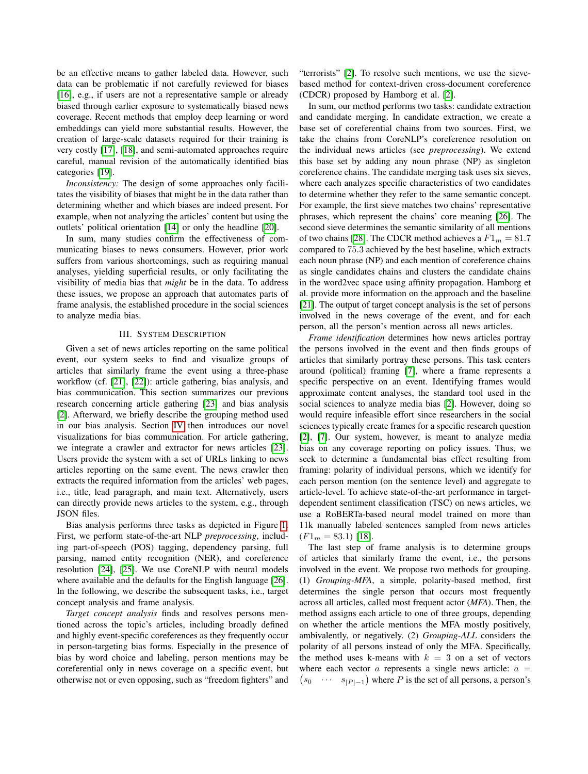be an effective means to gather labeled data. However, such data can be problematic if not carefully reviewed for biases [16], e.g., if users are not a representative sample or already biased through earlier exposure to systematically biased news coverage. Recent methods that employ deep learning or word embeddings can yield more substantial results. However, the creation of large-scale datasets required for their training is very costly [17], [18], and semi-automated approaches require careful, manual revision of the automatically identified bias categories [19].

*Inconsistency:* The design of some approaches only facilitates the visibility of biases that might be in the data rather than determining whether and which biases are indeed present. For example, when not analyzing the articles' content but using the outlets' political orientation  $[14]$  or only the headline  $[20]$ .

In sum, many studies confirm the effectiveness of communicating biases to news consumers. However, prior work suffers from various shortcomings, such as requiring manual analyses, yielding superficial results, or only facilitating the visibility of media bias that *might* be in the data. To address these issues, we propose an approach that automates parts of frame analysis, the established procedure in the social sciences to analyze media bias.

# III. SYSTEM DESCRIPTION

Given a set of news articles reporting on the same political event, our system seeks to find and visualize groups of articles that similarly frame the event using a three-phase workflow (cf.  $[21]$ ,  $[22]$ ): article gathering, bias analysis, and bias communication. This section summarizes our previous research concerning article gathering [23] and bias analysis [2]. Afterward, we briefly describe the grouping method used  $\overline{in}$  our bias analysis. Section  $\overline{IV}$  then introduces our novel visualizations for bias communication. For article gathering, we integrate a crawler and extractor for news articles [23]. Users provide the system with a set of URLs linking to news articles reporting on the same event. The news crawler then extracts the required information from the articles' web pages, i.e., title, lead paragraph, and main text. Alternatively, users can directly provide news articles to the system, e.g., through JSON files.

Bias analysis performs three tasks as depicted in Figure <sup>1</sup> First, we perform state-of-the-art NLP *preprocessing*, including part-of-speech (POS) tagging, dependency parsing, full parsing, named entity recognition (NER), and coreference resolution  $\overline{[24]}$ ,  $\overline{[25]}$ . We use CoreNLP with neural models where available and the defaults for the English language [26]. In the following, we describe the subsequent tasks, i.e., target concept analysis and frame analysis.

*Target concept analysis* finds and resolves persons mentioned across the topic's articles, including broadly defined and highly event-specific coreferences as they frequently occur in person-targeting bias forms. Especially in the presence of bias by word choice and labeling, person mentions may be coreferential only in news coverage on a specific event, but otherwise not or even opposing, such as "freedom fighters" and "terrorists" [2]. To resolve such mentions, we use the sievebased method for context-driven cross-document coreference (CDCR) proposed by Hamborg et al.  $[2]$ .

In sum, our method performs two tasks: candidate extraction and candidate merging. In candidate extraction, we create a base set of coreferential chains from two sources. First, we take the chains from CoreNLP's coreference resolution on the individual news articles (see *preprocessing*). We extend this base set by adding any noun phrase (NP) as singleton coreference chains. The candidate merging task uses six sieves, where each analyzes specific characteristics of two candidates to determine whether they refer to the same semantic concept. For example, the first sieve matches two chains' representative phrases, which represent the chains' core meaning [26]. The second sieve determines the semantic similarity of all mentions of two chains [28]. The CDCR method achieves a  $F1_m = 81.7$ compared to 75*.*3 achieved by the best baseline, which extracts each noun phrase (NP) and each mention of coreference chains as single candidates chains and clusters the candidate chains in the word2vec space using affinity propagation. Hamborg et al. provide more information on the approach and the baseline [21]. The output of target concept analysis is the set of persons involved in the news coverage of the event, and for each person, all the person's mention across all news articles.

*Frame identification* determines how news articles portray the persons involved in the event and then finds groups of articles that similarly portray these persons. This task centers around (political) framing  $\overline{7}$ , where a frame represents a specific perspective on an event. Identifying frames would approximate content analyses, the standard tool used in the social sciences to analyze media bias  $[2]$ . However, doing so would require infeasible effort since researchers in the social sciences typically create frames for a specific research question [2], [7]. Our system, however, is meant to analyze media bias on any coverage reporting on policy issues. Thus, we seek to determine a fundamental bias effect resulting from framing: polarity of individual persons, which we identify for each person mention (on the sentence level) and aggregate to article-level. To achieve state-of-the-art performance in targetdependent sentiment classification (TSC) on news articles, we use a RoBERTa-based neural model trained on more than 11k manually labeled sentences sampled from news articles  $(F1_m = 83.1)$  [18].

The last step of frame analysis is to determine groups of articles that similarly frame the event, i.e., the persons involved in the event. We propose two methods for grouping. (1) *Grouping-MFA*, a simple, polarity-based method, first determines the single person that occurs most frequently across all articles, called most frequent actor (*MFA*). Then, the method assigns each article to one of three groups, depending on whether the article mentions the MFA mostly positively, ambivalently, or negatively. (2) *Grouping-ALL* considers the polarity of all persons instead of only the MFA. Specifically, the method uses k-means with  $k = 3$  on a set of vectors where each vector  $a$  represents a single news article:  $a =$  $s_0 \cdots s_{|P|-1}$  where *P* is the set of all persons, a person's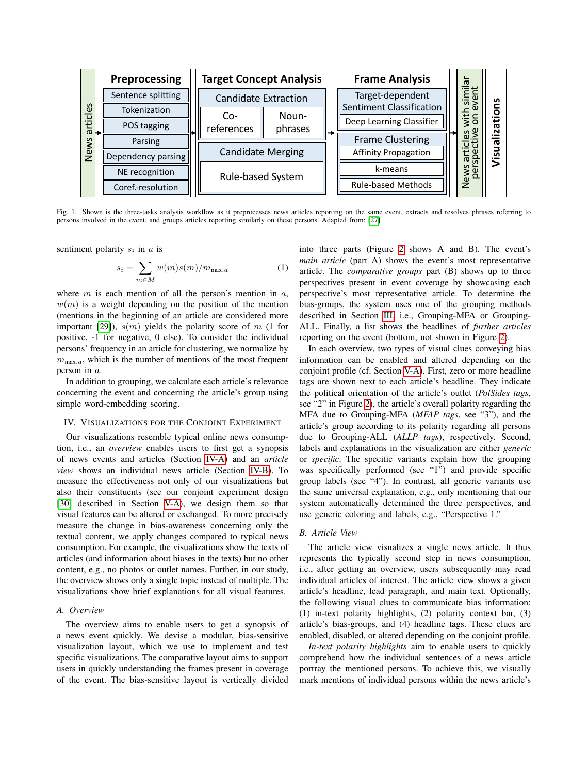

Fig. 1. Shown is the three-tasks analysis workflow as it preprocesses news articles reporting on the same event, extracts and resolves phrases referring to persons involved in the event, and groups articles reporting similarly on these persons. Adapted from: [27]

sentiment polarity *s<sup>i</sup>* in *a* is

$$
s_i = \sum_{m \in M} w(m)s(m)/m_{\max,a} \tag{1}
$$

where *m* is each mention of all the person's mention in *a*,  $w(m)$  is a weight depending on the position of the mention (mentions in the beginning of an article are considered more important  $[29]$ ),  $s(m)$  yields the polarity score of m (1 for positive, -1 for negative, 0 else). To consider the individual persons' frequency in an article for clustering, we normalize by  $m_{\text{max},a}$ , which is the number of mentions of the most frequent person in *a*.

In addition to grouping, we calculate each article's relevance concerning the event and concerning the article's group using simple word-embedding scoring.

#### IV. VISUALIZATIONS FOR THE CONJOINT EXPERIMENT

Our visualizations resemble typical online news consumption, i.e., an *overview* enables users to first get a synopsis of news events and articles (Section IV-A) and an *article view* shows an individual news article (Section IV-B). To measure the effectiveness not only of our visualizations but also their constituents (see our conjoint experiment design  $[30]$  described in Section  $\overline{V-A}$ , we design them so that visual features can be altered or exchanged. To more precisely measure the change in bias-awareness concerning only the textual content, we apply changes compared to typical news consumption. For example, the visualizations show the texts of articles (and information about biases in the texts) but no other content, e.g., no photos or outlet names. Further, in our study, the overview shows only a single topic instead of multiple. The visualizations show brief explanations for all visual features.

#### *A. Overview*

The overview aims to enable users to get a synopsis of a news event quickly. We devise a modular, bias-sensitive visualization layout, which we use to implement and test specific visualizations. The comparative layout aims to support users in quickly understanding the frames present in coverage of the event. The bias-sensitive layout is vertically divided

into three parts (Figure  $\sqrt{2}$  shows A and B). The event's *main article* (part A) shows the event's most representative article. The *comparative groups* part (B) shows up to three perspectives present in event coverage by showcasing each perspective's most representative article. To determine the bias-groups, the system uses one of the grouping methods described in Section  $\overline{III}$  i.e., Grouping-MFA or Grouping-ALL. Finally, a list shows the headlines of *further articles* reporting on the event (bottom, not shown in Figure  $[2]$ ).

In each overview, two types of visual clues conveying bias information can be enabled and altered depending on the conjoint profile (cf. Section  $V-A$ ). First, zero or more headline tags are shown next to each article's headline. They indicate the political orientation of the article's outlet (*PolSides tags*, see "2" in Figure  $\sqrt{2}$ , the article's overall polarity regarding the MFA due to Grouping-MFA (*MFAP tags*, see "3"), and the article's group according to its polarity regarding all persons due to Grouping-ALL (*ALLP tags*), respectively. Second, labels and explanations in the visualization are either *generic* or *specific*. The specific variants explain how the grouping was specifically performed (see "1") and provide specific group labels (see "4"). In contrast, all generic variants use the same universal explanation, e.g., only mentioning that our system automatically determined the three perspectives, and use generic coloring and labels, e.g., "Perspective 1."

## *B. Article View*

The article view visualizes a single news article. It thus represents the typically second step in news consumption, i.e., after getting an overview, users subsequently may read individual articles of interest. The article view shows a given article's headline, lead paragraph, and main text. Optionally, the following visual clues to communicate bias information: (1) in-text polarity highlights, (2) polarity context bar, (3) article's bias-groups, and (4) headline tags. These clues are enabled, disabled, or altered depending on the conjoint profile.

*In-text polarity highlights* aim to enable users to quickly comprehend how the individual sentences of a news article portray the mentioned persons. To achieve this, we visually mark mentions of individual persons within the news article's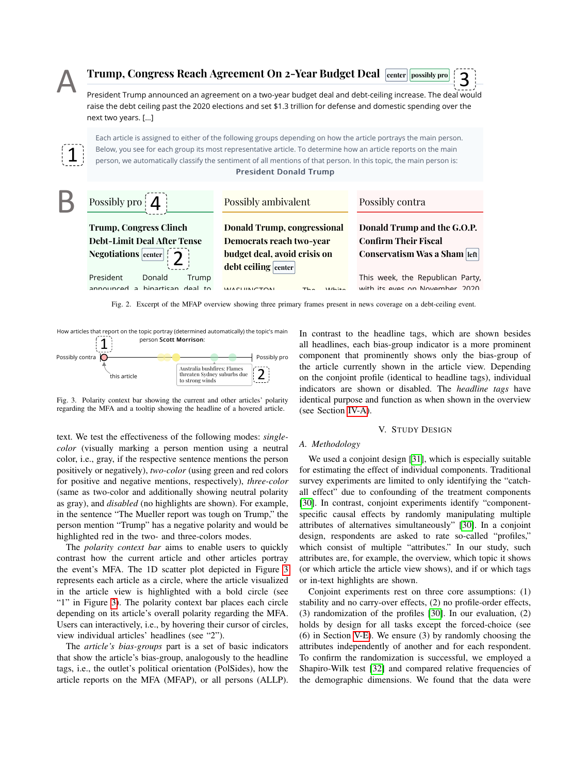

Fig. 2. Excerpt of the MFAP overview showing three primary frames present in news coverage on a debt-ceiling event.  $\sim$ 



Fig. 3. Polarity context bar showing the current and other articles' polarity regarding the MFA and a tooltip showing the headline of a hovered article.

**text.** We test the effectiveness of the following modes: *single*color i.e. gray if the respective sentence mentions the person. We used a conjoint design [31], which is esp positively or negatively), *two-color* (using green and red colors for estimating the effect of indiv Trump and the measure included is a temperature of the teacher of the teacher of the teacher of the teacher and additionally showing neutral polarity all effect" due to confounding of the treature of the teacher of the tea in the sentence "The Mueller report was tough on Trump," the specific causal effects b for positive and negative mentions, respectively), *three-color* as gray), and  $disabled$  (no highlights are shown). For example, color, i.e., gray, if the respective sentence mentions the person person mention "Trump" has a negative polarity and would be highlighted red in the two- and three-colors modes. *color* (visually marking a person mention using a neutral

The *polarity context bar* aims to enable users to quickly which consist of multip media to the strict that the section of the section of the section of the section of the section of the section of the section of the section of the section of the section of the section of the section of the section of th contrast how the current article and other articles portray the event's MFA. The 1D scatter plot depicted in Figure  $\overline{3}$ represents each article as a circle, where the article visualized in the article view is highlighted with a bold circle (see "1" in Figure  $\overline{3}$ . The polarity context bar places each circle depending on its article's overall polarity regarding the MFA. Users can interactively, i.e., by hovering their cursor of circles, view individual articles' headlines (see "2").

The *article's bias-groups* part is a set of basic indicators.  $\mathcal{L} = \mathcal{L} = \mathcal{L} = \mathcal{L} = \mathcal{L} = \mathcal{L} = \mathcal{L} = \mathcal{L} = \mathcal{L} = \mathcal{L} = \mathcal{L} = \mathcal{L} = \mathcal{L} = \mathcal{L} = \mathcal{L} = \mathcal{L} = \mathcal{L} = \mathcal{L} = \mathcal{L} = \mathcal{L} = \mathcal{L} = \mathcal{L} = \mathcal{L} = \mathcal{L} = \mathcal{L} = \mathcal{L} = \mathcal{L} = \mathcal{L} = \mathcal{L} = \mathcal{L} = \mathcal{L} = \mathcal$ tags, i.e., the outlet's political orientation (PolSides), how the article reports on the MFA (MFAP), or all persons (ALLP). that show the article's bias-group, analogously to the headline

latically) the topic's main In contrast to the headline tags, which are shown besides all headlines, each bias-group indicator is a more prominent  $\frac{1}{\text{Flames}}$  the article currently shown in the article view. Depending component that prominently shows only the bias-group of on the conjoint profile (identical to headline tags), individual indicators are shown or disabled. The *headline tags* have identical purpose and function as when shown in the overview (see Section IV-A)

## V. STUDY DESIGN

#### *A. Methodology*

We used a conjoint design  $[31]$ , which is especially suitable for estimating the effect of individual components. Traditional survey experiments are limited to only identifying the "catchall effect" due to confounding of the treatment components [30]. In contrast, conjoint experiments identify "componentspecific causal effects by randomly manipulating multiple attributes of alternatives simultaneously" [30]. In a conjoint design, respondents are asked to rate so-called "profiles," which consist of multiple "attributes." In our study, such attributes are, for example, the overview, which topic it shows (or which article the article view shows), and if or which tags or in-text highlights are shown.

Conjoint experiments rest on three core assumptions: (1) stability and no carry-over effects, (2) no profile-order effects, (3) randomization of the profiles  $\overline{30}$ . In our evaluation, (2) holds by design for all tasks except the forced-choice (see (6) in Section  $V-E$ . We ensure (3) by randomly choosing the attributes independently of another and for each respondent. To confirm the randomization is successful, we employed a Shapiro-Wilk test [32] and compared relative frequencies of the demographic dimensions. We found that the data were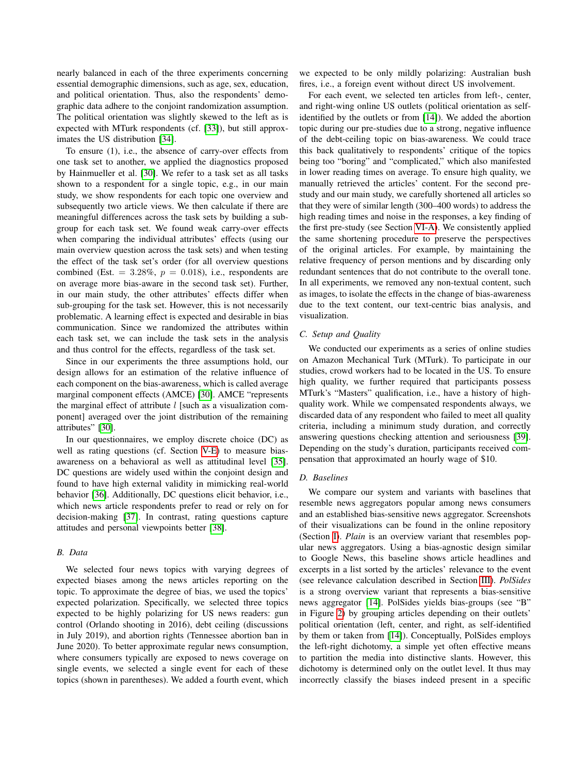nearly balanced in each of the three experiments concerning essential demographic dimensions, such as age, sex, education, and political orientation. Thus, also the respondents' demographic data adhere to the conjoint randomization assumption. The political orientation was slightly skewed to the left as is expected with MTurk respondents (cf. [33]), but still approximates the US distribution [34].

To ensure (1), i.e., the absence of carry-over effects from one task set to another, we applied the diagnostics proposed by Hainmueller et al. [30]. We refer to a task set as all tasks shown to a respondent for a single topic, e.g., in our main study, we show respondents for each topic one overview and subsequently two article views. We then calculate if there are meaningful differences across the task sets by building a subgroup for each task set. We found weak carry-over effects when comparing the individual attributes' effects (using our main overview question across the task sets) and when testing the effect of the task set's order (for all overview questions combined (Est.  $= 3.28\%, p = 0.018$ ), i.e., respondents are on average more bias-aware in the second task set). Further, in our main study, the other attributes' effects differ when sub-grouping for the task set. However, this is not necessarily problematic. A learning effect is expected and desirable in bias communication. Since we randomized the attributes within each task set, we can include the task sets in the analysis and thus control for the effects, regardless of the task set.

Since in our experiments the three assumptions hold, our design allows for an estimation of the relative influence of each component on the bias-awareness, which is called average marginal component effects (AMCE) [30]. AMCE "represents the marginal effect of attribute *l* [such as a visualization component] averaged over the joint distribution of the remaining attributes" [30].

In our questionnaires, we employ discrete choice (DC) as well as rating questions (cf. Section  $\overline{V-E}$ ) to measure biasawareness on a behavioral as well as attitudinal level [35]. DC questions are widely used within the conjoint design and found to have high external validity in mimicking real-world behavior [36]. Additionally, DC questions elicit behavior, i.e., which news article respondents prefer to read or rely on for decision-making [37]. In contrast, rating questions capture attitudes and personal viewpoints better [38].

#### *B. Data*

We selected four news topics with varying degrees of expected biases among the news articles reporting on the topic. To approximate the degree of bias, we used the topics' expected polarization. Specifically, we selected three topics expected to be highly polarizing for US news readers: gun control (Orlando shooting in 2016), debt ceiling (discussions in July 2019), and abortion rights (Tennessee abortion ban in June 2020). To better approximate regular news consumption, where consumers typically are exposed to news coverage on single events, we selected a single event for each of these topics (shown in parentheses). We added a fourth event, which we expected to be only mildly polarizing: Australian bush fires, i.e., a foreign event without direct US involvement.

For each event, we selected ten articles from left-, center, and right-wing online US outlets (political orientation as selfidentified by the outlets or from  $[14]$ ). We added the abortion topic during our pre-studies due to a strong, negative influence of the debt-ceiling topic on bias-awareness. We could trace this back qualitatively to respondents' critique of the topics being too "boring" and "complicated," which also manifested in lower reading times on average. To ensure high quality, we manually retrieved the articles' content. For the second prestudy and our main study, we carefully shortened all articles so that they were of similar length (300–400 words) to address the high reading times and noise in the responses, a key finding of the first pre-study (see Section VI-A). We consistently applied the same shortening procedure to preserve the perspectives of the original articles. For example, by maintaining the relative frequency of person mentions and by discarding only redundant sentences that do not contribute to the overall tone. In all experiments, we removed any non-textual content, such as images, to isolate the effects in the change of bias-awareness due to the text content, our text-centric bias analysis, and visualization.

# *C. Setup and Quality*

We conducted our experiments as a series of online studies on Amazon Mechanical Turk (MTurk). To participate in our studies, crowd workers had to be located in the US. To ensure high quality, we further required that participants possess MTurk's "Masters" qualification, i.e., have a history of highquality work. While we compensated respondents always, we discarded data of any respondent who failed to meet all quality criteria, including a minimum study duration, and correctly answering questions checking attention and seriousness [39]. Depending on the study's duration, participants received compensation that approximated an hourly wage of \$10.

#### *D. Baselines*

We compare our system and variants with baselines that resemble news aggregators popular among news consumers and an established bias-sensitive news aggregator. Screenshots of their visualizations can be found in the online repository (Section  $\overline{I}$ ). *Plain* is an overview variant that resembles popular news aggregators. Using a bias-agnostic design similar to Google News, this baseline shows article headlines and excerpts in a list sorted by the articles' relevance to the event (see relevance calculation described in Section III). *PolSides* is a strong overview variant that represents a bias-sensitive news aggregator [14]. PolSides yields bias-groups (see "B" in Figure  $\boxed{2}$  by grouping articles depending on their outlets' political orientation (left, center, and right, as self-identified by them or taken from  $\overline{[14]}$ ). Conceptually, PolSides employs the left-right dichotomy, a simple yet often effective means to partition the media into distinctive slants. However, this dichotomy is determined only on the outlet level. It thus may incorrectly classify the biases indeed present in a specific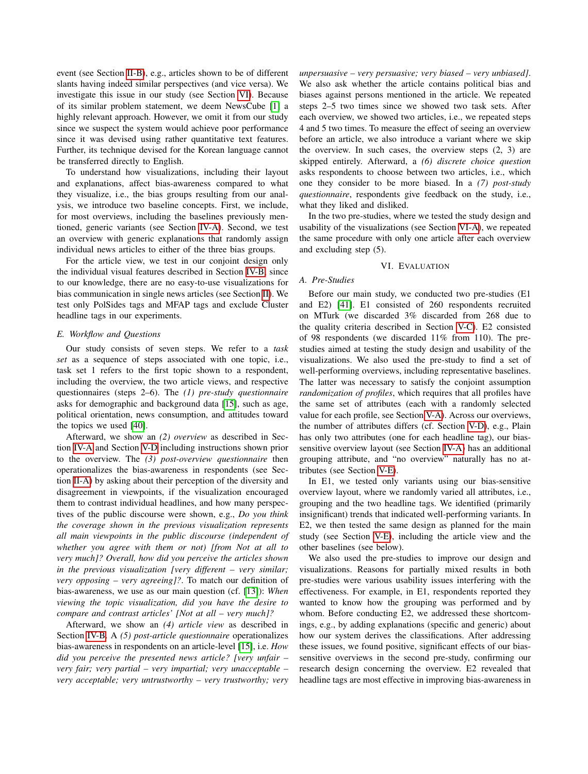event (see Section II-B), e.g., articles shown to be of different slants having indeed similar perspectives (and vice versa). We investigate this issue in our study (see Section VI). Because of its similar problem statement, we deem NewsCube [1] a highly relevant approach. However, we omit it from our study since we suspect the system would achieve poor performance since it was devised using rather quantitative text features. Further, its technique devised for the Korean language cannot be transferred directly to English.

To understand how visualizations, including their layout and explanations, affect bias-awareness compared to what they visualize, i.e., the bias groups resulting from our analysis, we introduce two baseline concepts. First, we include, for most overviews, including the baselines previously mentioned, generic variants (see Section IV-A). Second, we test an overview with generic explanations that randomly assign individual news articles to either of the three bias groups.

For the article view, we test in our conjoint design only the individual visual features described in Section **IV-B** since to our knowledge, there are no easy-to-use visualizations for bias communication in single news articles (see Section  $\overline{II}$ ). We test only PolSides tags and MFAP tags and exclude Cluster headline tags in our experiments.

## *E. Workflow and Questions*

Our study consists of seven steps. We refer to a *task set* as a sequence of steps associated with one topic, i.e., task set 1 refers to the first topic shown to a respondent, including the overview, the two article views, and respective questionnaires (steps 2–6). The *(1) pre-study questionnaire* asks for demographic and background data  $[15]$ , such as age, political orientation, news consumption, and attitudes toward the topics we used  $[40]$ .

Afterward, we show an *(2) overview* as described in Section **IV-A** and Section **V-D** including instructions shown prior to the overview. The *(3) post-overview questionnaire* then operationalizes the bias-awareness in respondents (see Section II-A) by asking about their perception of the diversity and disagreement in viewpoints, if the visualization encouraged them to contrast individual headlines, and how many perspectives of the public discourse were shown, e.g., *Do you think the coverage shown in the previous visualization represents all main viewpoints in the public discourse (independent of whether you agree with them or not) [from Not at all to very much]? Overall, how did you perceive the articles shown in the previous visualization [very different – very similar; very opposing – very agreeing]?*. To match our definition of bias-awareness, we use as our main question (cf. [13]): *When viewing the topic visualization, did you have the desire to compare and contrast articles' [Not at all – very much]?*

Afterward, we show an *(4) article view* as described in Section IV-B. A *(5) post-article questionnaire* operationalizes bias-awareness in respondents on an article-level [15], i.e. *How did you perceive the presented news article? [very unfair – very fair; very partial – very impartial; very unacceptable – very acceptable; very untrustworthy – very trustworthy; very* *unpersuasive – very persuasive; very biased – very unbiased]*. We also ask whether the article contains political bias and biases against persons mentioned in the article. We repeated steps 2–5 two times since we showed two task sets. After each overview, we showed two articles, i.e., we repeated steps 4 and 5 two times. To measure the effect of seeing an overview before an article, we also introduce a variant where we skip the overview. In such cases, the overview steps (2, 3) are skipped entirely. Afterward, a *(6) discrete choice question* asks respondents to choose between two articles, i.e., which one they consider to be more biased. In a *(7) post-study questionnaire*, respondents give feedback on the study, i.e., what they liked and disliked.

In the two pre-studies, where we tested the study design and usability of the visualizations (see Section VI-A), we repeated the same procedure with only one article after each overview and excluding step (5).

#### VI. EVALUATION

#### *A. Pre-Studies*

Before our main study, we conducted two pre-studies (E1 and E2) [41]. E1 consisted of 260 respondents recruited on MTurk (we discarded 3% discarded from 268 due to the quality criteria described in Section  $\overline{V-C}$ . E2 consisted of 98 respondents (we discarded 11% from 110). The prestudies aimed at testing the study design and usability of the visualizations. We also used the pre-study to find a set of well-performing overviews, including representative baselines. The latter was necessary to satisfy the conjoint assumption *randomization of profiles*, which requires that all profiles have the same set of attributes (each with a randomly selected value for each profile, see Section V-A). Across our overviews, the number of attributes differs (cf. Section  $\overline{V-D}$ ), e.g., Plain has only two attributes (one for each headline tag), our biassensitive overview layout (see Section  $\overline{IV-A}$ ) has an additional grouping attribute, and "no overview" naturally has no attributes (see Section V-E).

In E1, we tested only variants using our bias-sensitive overview layout, where we randomly varied all attributes, i.e., grouping and the two headline tags. We identified (primarily insignificant) trends that indicated well-performing variants. In E2, we then tested the same design as planned for the main study (see Section  $V-E$ ), including the article view and the other baselines (see below).

We also used the pre-studies to improve our design and visualizations. Reasons for partially mixed results in both pre-studies were various usability issues interfering with the effectiveness. For example, in E1, respondents reported they wanted to know how the grouping was performed and by whom. Before conducting E2, we addressed these shortcomings, e.g., by adding explanations (specific and generic) about how our system derives the classifications. After addressing these issues, we found positive, significant effects of our biassensitive overviews in the second pre-study, confirming our research design concerning the overview. E2 revealed that headline tags are most effective in improving bias-awareness in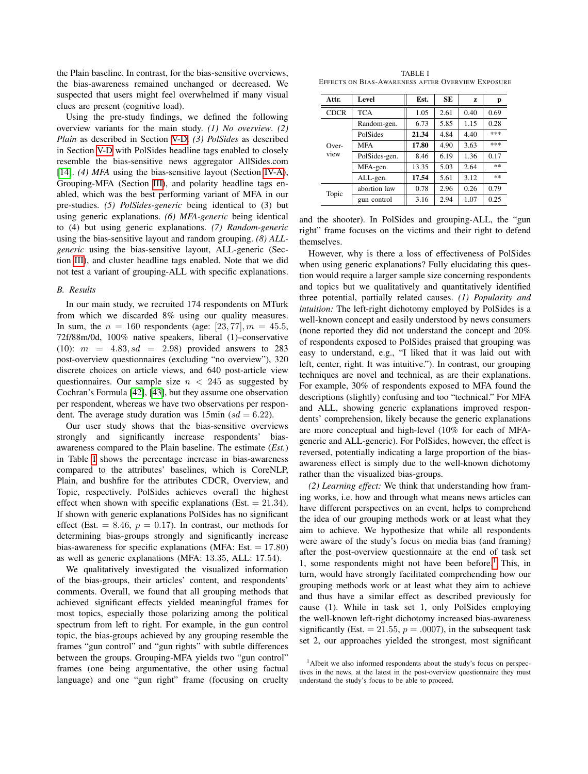the Plain baseline. In contrast, for the bias-sensitive overviews, the bias-awareness remained unchanged or decreased. We suspected that users might feel overwhelmed if many visual clues are present (cognitive load).

Using the pre-study findings, we defined the following overview variants for the main study. *(1) No overview*. *(2) Plain* as described in Section V-D. *(3) PolSides* as described in Section V-D with PolSides headline tags enabled to closely resemble the bias-sensitive news aggregator AllSides.com [14]. *(4) MFA* using the bias-sensitive layout (Section IV-A), Grouping-MFA (Section III), and polarity headline tags enabled, which was the best performing variant of MFA in our pre-studies. *(5) PolSides-generic* being identical to (3) but using generic explanations. *(6) MFA-generic* being identical to (4) but using generic explanations. *(7) Random-generic* using the bias-sensitive layout and random grouping. *(8) ALLgeneric* using the bias-sensitive layout, ALL-generic (Section III), and cluster headline tags enabled. Note that we did not test a variant of grouping-ALL with specific explanations.

## *B. Results*

In our main study, we recruited 174 respondents on MTurk from which we discarded 8% using our quality measures. In sum, the  $n = 160$  respondents (age: [23, 77],  $m = 45.5$ , 72f/88m/0d, 100% native speakers, liberal (1)–conservative  $(10):$   $m = 4.83, sd = 2.98$  provided answers to 283 post-overview questionnaires (excluding "no overview"), 320 discrete choices on article views, and 640 post-article view questionnaires. Our sample size *n <* 245 as suggested by Cochran's Formula  $[42]$ ,  $[43]$ , but they assume one observation per respondent, whereas we have two observations per respondent. The average study duration was  $15\text{min}$  ( $sd = 6.22$ ).

Our user study shows that the bias-sensitive overviews strongly and significantly increase respondents' biasawareness compared to the Plain baseline. The estimate (*Est.*) in Table  $\overline{\Pi}$  shows the percentage increase in bias-awareness compared to the attributes' baselines, which is CoreNLP, Plain, and bushfire for the attributes CDCR, Overview, and Topic, respectively. PolSides achieves overall the highest effect when shown with specific explanations (Est. = 21*.*34). If shown with generic explanations PolSides has no significant effect (Est.  $= 8.46, p = 0.17$ ). In contrast, our methods for determining bias-groups strongly and significantly increase bias-awareness for specific explanations (MFA: Est. = 17*.*80) as well as generic explanations (MFA: 13*.*35, ALL: 17*.*54).

We qualitatively investigated the visualized information of the bias-groups, their articles' content, and respondents' comments. Overall, we found that all grouping methods that achieved significant effects yielded meaningful frames for most topics, especially those polarizing among the political spectrum from left to right. For example, in the gun control topic, the bias-groups achieved by any grouping resemble the frames "gun control" and "gun rights" with subtle differences between the groups. Grouping-MFA yields two "gun control" frames (one being argumentative, the other using factual language) and one "gun right" frame (focusing on cruelty

TABLE I EFFECTS ON BIAS-AWARENESS AFTER OVERVIEW EXPOSURE

| Attr.           | Level         | Est.  | SE   | z    | р    |
|-----------------|---------------|-------|------|------|------|
| <b>CDCR</b>     | <b>TCA</b>    | 1.05  | 2.61 | 0.40 | 0.69 |
| $Over-$<br>view | Random-gen.   | 6.73  | 5.85 | 1.15 | 0.28 |
|                 | PolSides      | 21.34 | 4.84 | 4.40 | ***  |
|                 | <b>MFA</b>    | 17.80 | 4.90 | 3.63 | ***  |
|                 | PolSides-gen. | 8.46  | 6.19 | 1.36 | 0.17 |
|                 | MFA-gen.      | 13.35 | 5.03 | 2.64 | 宗宗   |
|                 | ALL-gen.      | 17.54 | 5.61 | 3.12 | 宗宗   |
| Topic           | abortion law  | 0.78  | 2.96 | 0.26 | 0.79 |
|                 | gun control   | 3.16  | 2.94 | 1.07 | 0.25 |

and the shooter). In PolSides and grouping-ALL, the "gun right" frame focuses on the victims and their right to defend themselves.

However, why is there a loss of effectiveness of PolSides when using generic explanations? Fully elucidating this question would require a larger sample size concerning respondents and topics but we qualitatively and quantitatively identified three potential, partially related causes. *(1) Popularity and intuition:* The left-right dichotomy employed by PolSides is a well-known concept and easily understood by news consumers (none reported they did not understand the concept and 20% of respondents exposed to PolSides praised that grouping was easy to understand, e.g., "I liked that it was laid out with left, center, right. It was intuitive."). In contrast, our grouping techniques are novel and technical, as are their explanations. For example, 30% of respondents exposed to MFA found the descriptions (slightly) confusing and too "technical." For MFA and ALL, showing generic explanations improved respondents' comprehension, likely because the generic explanations are more conceptual and high-level (10% for each of MFAgeneric and ALL-generic). For PolSides, however, the effect is reversed, potentially indicating a large proportion of the biasawareness effect is simply due to the well-known dichotomy rather than the visualized bias-groups.

*(2) Learning effect:* We think that understanding how framing works, i.e. how and through what means news articles can have different perspectives on an event, helps to comprehend the idea of our grouping methods work or at least what they aim to achieve. We hypothesize that while all respondents were aware of the study's focus on media bias (and framing) after the post-overview questionnaire at the end of task set 1, some respondents might not have been before.<sup>1</sup> This, in turn, would have strongly facilitated comprehending how our grouping methods work or at least what they aim to achieve and thus have a similar effect as described previously for cause (1). While in task set 1, only PolSides employing the well-known left-right dichotomy increased bias-awareness significantly (Est.  $= 21.55$ ,  $p = .0007$ ), in the subsequent task set 2, our approaches yielded the strongest, most significant

<sup>&</sup>lt;sup>1</sup>Albeit we also informed respondents about the study's focus on perspectives in the news, at the latest in the post-overview questionnaire they must understand the study's focus to be able to proceed.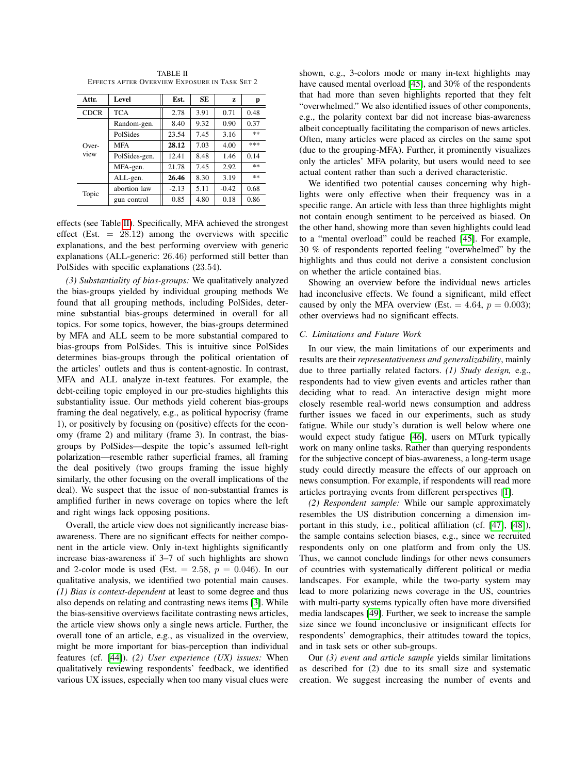TABLE II EFFECTS AFTER OVERVIEW EXPOSURE IN TASK SET 2

| Attr.         | Level         | Est.    | SE   | Z       | р       |
|---------------|---------------|---------|------|---------|---------|
| <b>CDCR</b>   | <b>TCA</b>    | 2.78    | 3.91 | 0.71    | 0.48    |
| Over-<br>view | Random-gen.   | 8.40    | 9.32 | 0.90    | 0.37    |
|               | PolSides      | 23.54   | 7.45 | 3.16    | 宗宗      |
|               | <b>MFA</b>    | 28.12   | 7.03 | 4.00    | ***     |
|               | PolSides-gen. | 12.41   | 8.48 | 1.46    | 0.14    |
|               | MFA-gen.      | 21.78   | 7.45 | 2.92    | $\pm 1$ |
|               | ALL-gen.      | 26.46   | 8.30 | 3.19    | 宗宗      |
| Topic         | abortion law  | $-2.13$ | 5.11 | $-0.42$ | 0.68    |
|               | gun control   | 0.85    | 4.80 | 0.18    | 0.86    |

effects (see Table  $\overline{II}$ ). Specifically, MFA achieved the strongest effect (Est.  $= 28.12$ ) among the overviews with specific explanations, and the best performing overview with generic explanations (ALL-generic: 26*.*46) performed still better than PolSides with specific explanations (23*.*54).

*(3) Substantiality of bias-groups:* We qualitatively analyzed the bias-groups yielded by individual grouping methods We found that all grouping methods, including PolSides, determine substantial bias-groups determined in overall for all topics. For some topics, however, the bias-groups determined by MFA and ALL seem to be more substantial compared to bias-groups from PolSides. This is intuitive since PolSides determines bias-groups through the political orientation of the articles' outlets and thus is content-agnostic. In contrast, MFA and ALL analyze in-text features. For example, the debt-ceiling topic employed in our pre-studies highlights this substantiality issue. Our methods yield coherent bias-groups framing the deal negatively, e.g., as political hypocrisy (frame 1), or positively by focusing on (positive) effects for the economy (frame 2) and military (frame 3). In contrast, the biasgroups by PolSides—despite the topic's assumed left-right polarization—resemble rather superficial frames, all framing the deal positively (two groups framing the issue highly similarly, the other focusing on the overall implications of the deal). We suspect that the issue of non-substantial frames is amplified further in news coverage on topics where the left and right wings lack opposing positions.

Overall, the article view does not significantly increase biasawareness. There are no significant effects for neither component in the article view. Only in-text highlights significantly increase bias-awareness if 3–7 of such highlights are shown and 2-color mode is used (Est.  $= 2.58$ ,  $p = 0.046$ ). In our qualitative analysis, we identified two potential main causes. *(1) Bias is context-dependent* at least to some degree and thus also depends on relating and contrasting news items [3]. While the bias-sensitive overviews facilitate contrasting news articles, the article view shows only a single news article. Further, the overall tone of an article, e.g., as visualized in the overview, might be more important for bias-perception than individual features (cf. [44]). *(2) User experience (UX) issues:* When qualitatively reviewing respondents' feedback, we identified various UX issues, especially when too many visual clues were

shown, e.g., 3-colors mode or many in-text highlights may have caused mental overload  $[45]$ , and 30% of the respondents that had more than seven highlights reported that they felt "overwhelmed." We also identified issues of other components, e.g., the polarity context bar did not increase bias-awareness albeit conceptually facilitating the comparison of news articles. Often, many articles were placed as circles on the same spot (due to the grouping-MFA). Further, it prominently visualizes only the articles' MFA polarity, but users would need to see actual content rather than such a derived characteristic.

We identified two potential causes concerning why highlights were only effective when their frequency was in a specific range. An article with less than three highlights might not contain enough sentiment to be perceived as biased. On the other hand, showing more than seven highlights could lead to a "mental overload" could be reached [45]. For example, 30 % of respondents reported feeling "overwhelmed" by the highlights and thus could not derive a consistent conclusion on whether the article contained bias.

Showing an overview before the individual news articles had inconclusive effects. We found a significant, mild effect caused by only the MFA overview (Est.  $= 4.64$ ,  $p = 0.003$ ); other overviews had no significant effects.

#### *C. Limitations and Future Work*

In our view, the main limitations of our experiments and results are their *representativeness and generalizability*, mainly due to three partially related factors. *(1) Study design,* e.g., respondents had to view given events and articles rather than deciding what to read. An interactive design might more closely resemble real-world news consumption and address further issues we faced in our experiments, such as study fatigue. While our study's duration is well below where one would expect study fatigue [46], users on MTurk typically work on many online tasks. Rather than querying respondents for the subjective concept of bias-awareness, a long-term usage study could directly measure the effects of our approach on news consumption. For example, if respondents will read more articles portraying events from different perspectives [1].

*(2) Respondent sample:* While our sample approximately resembles the US distribution concerning a dimension important in this study, i.e., political affiliation (cf.  $[47]$ ,  $[48]$ ), the sample contains selection biases, e.g., since we recruited respondents only on one platform and from only the US. Thus, we cannot conclude findings for other news consumers of countries with systematically different political or media landscapes. For example, while the two-party system may lead to more polarizing news coverage in the US, countries with multi-party systems typically often have more diversified media landscapes  $[49]$ . Further, we seek to increase the sample size since we found inconclusive or insignificant effects for respondents' demographics, their attitudes toward the topics, and in task sets or other sub-groups.

Our *(3) event and article sample* yields similar limitations as described for (2) due to its small size and systematic creation. We suggest increasing the number of events and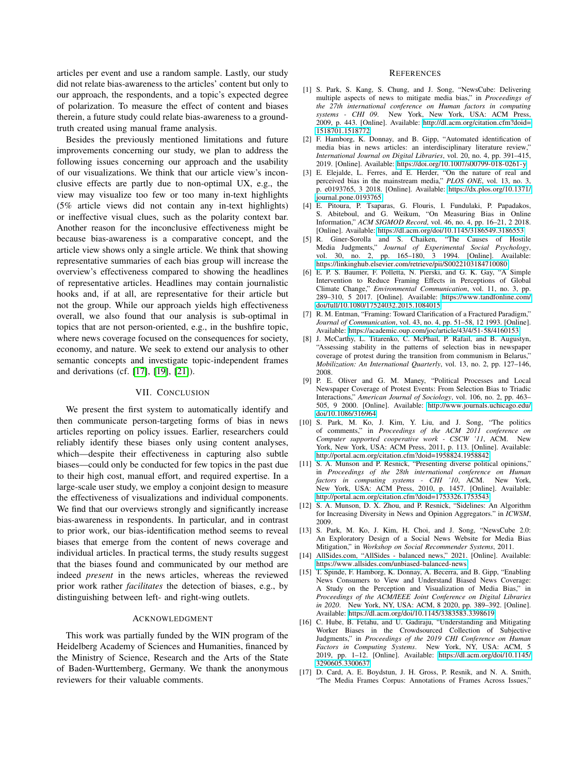articles per event and use a random sample. Lastly, our study did not relate bias-awareness to the articles' content but only to our approach, the respondents, and a topic's expected degree of polarization. To measure the effect of content and biases therein, a future study could relate bias-awareness to a groundtruth created using manual frame analysis.

Besides the previously mentioned limitations and future improvements concerning our study, we plan to address the following issues concerning our approach and the usability of our visualizations. We think that our article view's inconclusive effects are partly due to non-optimal UX, e.g., the view may visualize too few or too many in-text highlights (5% article views did not contain any in-text highlights) or ineffective visual clues, such as the polarity context bar. Another reason for the inconclusive effectiveness might be because bias-awareness is a comparative concept, and the article view shows only a single article. We think that showing representative summaries of each bias group will increase the overview's effectiveness compared to showing the headlines of representative articles. Headlines may contain journalistic hooks and, if at all, are representative for their article but not the group. While our approach yields high effectiveness overall, we also found that our analysis is sub-optimal in topics that are not person-oriented, e.g., in the bushfire topic, where news coverage focused on the consequences for society, economy, and nature. We seek to extend our analysis to other semantic concepts and investigate topic-independent frames and derivations (cf.  $[17]$ ,  $[19]$ ,  $[21]$ ).

#### VII. CONCLUSION

We present the first system to automatically identify and then communicate person-targeting forms of bias in news articles reporting on policy issues. Earlier, researchers could reliably identify these biases only using content analyses, which—despite their effectiveness in capturing also subtle biases—could only be conducted for few topics in the past due to their high cost, manual effort, and required expertise. In a large-scale user study, we employ a conjoint design to measure the effectiveness of visualizations and individual components. We find that our overviews strongly and significantly increase bias-awareness in respondents. In particular, and in contrast to prior work, our bias-identification method seems to reveal biases that emerge from the content of news coverage and individual articles. In practical terms, the study results suggest that the biases found and communicated by our method are indeed *present* in the news articles, whereas the reviewed prior work rather *facilitates* the detection of biases, e.g., by distinguishing between left- and right-wing outlets.

## ACKNOWLEDGMENT

This work was partially funded by the WIN program of the Heidelberg Academy of Sciences and Humanities, financed by the Ministry of Science, Research and the Arts of the State of Baden-Wurttemberg, Germany. We thank the anonymous reviewers for their valuable comments.

#### **REFERENCES**

- [1] S. Park, S. Kang, S. Chung, and J. Song, "NewsCube: Delivering multiple aspects of news to mitigate media bias," in *Proceedings of the 27th international conference on Human factors in computing systems - CHI 09*. New York, New York, USA: ACM Press, 2009, p. 443. [Online]. Available: http://dl*.*acm*.*org/citation*.*cfm?doid= 1518701*.*1518772
- [2] F. Hamborg, K. Donnay, and B. Gipp, "Automated identification of media bias in news articles: an interdisciplinary literature review," *International Journal on Digital Libraries*, vol. 20, no. 4, pp. 391–415, 2019. [Online]. Available: https://doi*.*org/10*.*1007/s00799-018-0261-y
- [3] E. Elejalde, L. Ferres, and E. Herder, "On the nature of real and perceived bias in the mainstream media," *PLOS ONE*, vol. 13, no. 3, p. e0193765, 3 2018. [Online]. Available: https://dx*.*plos*.*org/10*.*1371/ journal*.*pone*.*0193765
- [4] E. Pitoura, P. Tsaparas, G. Flouris, I. Fundulaki, P. Papadakos, S. Abiteboul, and G. Weikum, "On Measuring Bias in Online Information," *ACM SIGMOD Record*, vol. 46, no. 4, pp. 16–21, 2 2018. [Online]. Available: https://dl*.*acm*.*org/doi/10*.*1145/3186549*.*3186553
- [5] R. Giner-Sorolla and S. Chaiken, "The Causes of Hostile Media Judgments," *Journal of Experimental Social Psychology*, vol. 30, no. 2, pp. 165–180, 3 1994. [Online]. Available: https://linkinghub*.*elsevier*.*com/retrieve/pii/S0022103184710080
- [6] E. P. S. Baumer, F. Polletta, N. Pierski, and G. K. Gay, "A Simple Intervention to Reduce Framing Effects in Perceptions of Global Climate Change," *Environmental Communication*, vol. 11, no. 3, pp. 289–310, 5 2017. [Online]. Available: https://www*.*tandfonline*.*com/ doi/full/10*.*1080/17524032*.*2015*.*1084015
- [7] R. M. Entman, "Framing: Toward Clarification of a Fractured Paradigm," *Journal of Communication*, vol. 43, no. 4, pp. 51–58, 12 1993. [Online]. Available: https://academic*.*oup*.*com/joc/article/43/4/51-58/4160153
- [8] J. McCarthy, L. Titarenko, C. McPhail, P. Rafail, and B. Augustyn, "Assessing stability in the patterns of selection bias in newspaper coverage of protest during the transition from communism in Belarus, *Mobilization: An International Quarterly*, vol. 13, no. 2, pp. 127–146, 2008.
- [9] P. E. Oliver and G. M. Maney, "Political Processes and Local Newspaper Coverage of Protest Events: From Selection Bias to Triadic Interactions," *American Journal of Sociology*, vol. 106, no. 2, pp. 463– 505, 9 2000. [Online]. Available: http://www*.*journals*.*uchicago*.*edu/ doi/10*.*1086/316964
- [10] S. Park, M. Ko, J. Kim, Y. Liu, and J. Song, "The politics of comments," in *Proceedings of the ACM 2011 conference on Computer supported cooperative work - CSCW '11*, ACM. New York, New York, USA: ACM Press, 2011, p. 113. [Online]. Available: http://portal*.*acm*.*org/citation*.*cfm?doid=1958824*.*1958842
- [11] S. A. Munson and P. Resnick, "Presenting diverse political opinions," in *Proceedings of the 28th international conference on Human factors in computing systems - CHI '10*, ACM. New York, New York, USA: ACM Press, 2010, p. 1457. [Online]. Available: http://portal*.*acm*.*org/citation*.*cfm?doid=1753326*.*1753543
- [12] S. A. Munson, D. X. Zhou, and P. Resnick, "Sidelines: An Algorithm for Increasing Diversity in News and Opinion Aggregators." in *ICWSM*, 2009.
- [13] S. Park, M. Ko, J. Kim, H. Choi, and J. Song, "NewsCube 2.0: An Exploratory Design of a Social News Website for Media Bias Mitigation," in *Workshop on Social Recommender Systems*, 2011.
- [14] AllSides.com, "AllSides balanced news," 2021. [Online]. Available: https://www*.*allsides*.*com/unbiased-balanced-news
- [15] T. Spinde, F. Hamborg, K. Donnay, A. Becerra, and B. Gipp, "Enabling News Consumers to View and Understand Biased News Coverage: A Study on the Perception and Visualization of Media Bias," in *Proceedings of the ACM/IEEE Joint Conference on Digital Libraries in 2020*. New York, NY, USA: ACM, 8 2020, pp. 389–392. [Online]. Available: https://dl*.*acm*.*org/doi/10*.*1145/3383583*.*3398619
- [16] C. Hube, B. Fetahu, and U. Gadiraju, "Understanding and Mitigating Worker Biases in the Crowdsourced Collection of Subjective Judgments," in *Proceedings of the 2019 CHI Conference on Human Factors in Computing Systems*. New York, NY, USA: ACM, 5 2019, pp. 1–12. [Online]. Available: https://dl*.*acm*.*org/doi/10*.*1145/ 3290605*.*3300637
- [17] D. Card, A. E. Boydstun, J. H. Gross, P. Resnik, and N. A. Smith, "The Media Frames Corpus: Annotations of Frames Across Issues,"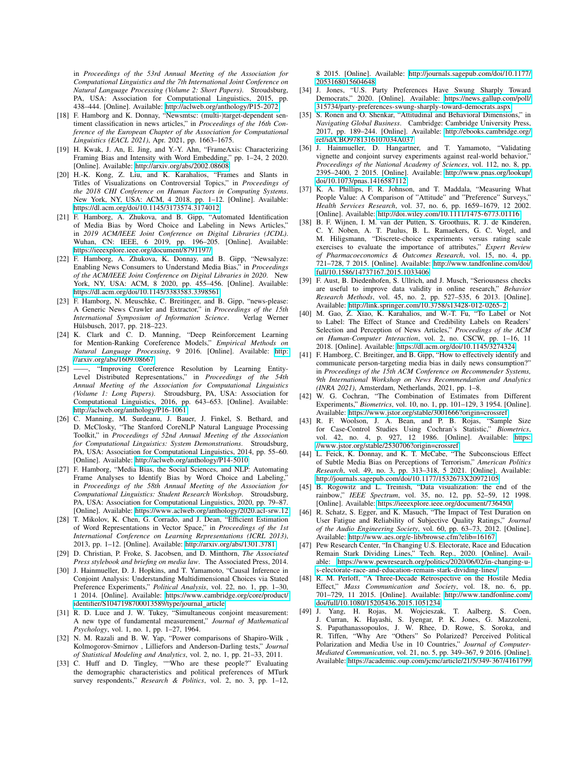in *Proceedings of the 53rd Annual Meeting of the Association for Computational Linguistics and the 7th International Joint Conference on Natural Language Processing (Volume 2: Short Papers)*. Stroudsburg, PA, USA: Association for Computational Linguistics, 438–444. [Online]. Available: http://aclweb*.*org/anthology/P15-2072

- [18] F. Hamborg and K. Donnay, "Newsmtsc: (multi-)target-dependent sentiment classification in news articles," in *Proceedings of the 16th Conference of the European Chapter of the Association for Computational Linguistics (EACL 2021)*, Apr. 2021, pp. 1663–1675.
- [19] H. Kwak, J. An, E. Jing, and Y.-Y. Ahn, "FrameAxis: Characterizing Framing Bias and Intensity with Word Embedding," pp. 1–24, 2 2020. [Online]. Available: http://arxiv*.*org/abs/2002*.*08608
- [20] H.-K. Kong, Z. Liu, and K. Karahalios, "Frames and Slants in Titles of Visualizations on Controversial Topics," in *Proceedings of the 2018 CHI Conference on Human Factors in Computing Systems*. New York, NY, USA: ACM, 4 2018, pp. 1–12. [Online]. Available: https://dl*.*acm*.*org/doi/10*.*1145/3173574*.*3174012
- [21] F. Hamborg, A. Zhukova, and B. Gipp, "Automated Identification of Media Bias by Word Choice and Labeling in News Articles," in *2019 ACM/IEEE Joint Conference on Digital Libraries (JCDL)*. Wuhan, CN: IEEE, 6 2019, pp. 196–205. [Online]. Available: https://ieeexplore*.*ieee*.*org/document/8791197/
- [22] F. Hamborg, A. Zhukova, K. Donnay, and B. Gipp, "Newsalyze: Enabling News Consumers to Understand Media Bias," in *Proceedings of the ACM/IEEE Joint Conference on Digital Libraries in 2020*. New York, NY, USA: ACM, 8 2020, pp. 455–456. [Online]. Available: https://dl*.*acm*.*org/doi/10*.*1145/3383583*.*3398561
- [23] F. Hamborg, N. Meuschke, C. Breitinger, and B. Gipp, "news-please: A Generic News Crawler and Extractor," in *Proceedings of the 15th International Symposium of Information Science.* Hülsbusch, 2017, pp. 218–223.
- [24] K. Clark and C. D. Manning, "Deep Reinforcement Learning for Mention-Ranking Coreference Models," *Empirical Methods on Natural Language Processing*, 9 2016. [Online]. Available: http: //arxiv*.*org/abs/1609*.*08667
- [25] ——, "Improving Coreference Resolution by Learning Entity-Level Distributed Representations," in *Proceedings of the 54th Annual Meeting of the Association for Computational Linguistics (Volume 1: Long Papers)*. Stroudsburg, PA, USA: Association for Computational Linguistics, 2016, pp. 643–653. [Online]. Available: http://aclweb*.*org/anthology/P16-1061
- [26] C. Manning, M. Surdeanu, J. Bauer, J. Finkel, S. Bethard, and D. McClosky, "The Stanford CoreNLP Natural Language Processing Toolkit," in *Proceedings of 52nd Annual Meeting of the Association for Computational Linguistics: System Demonstrations*. Stroudsburg, PA, USA: Association for Computational Linguistics, 2014, pp. 55–60. [Online]. Available: http://aclweb*.*org/anthology/P14-5010
- [27] F. Hamborg, "Media Bias, the Social Sciences, and NLP: Automating Frame Analyses to Identify Bias by Word Choice and Labeling, in *Proceedings of the 58th Annual Meeting of the Association for Computational Linguistics: Student Research Workshop*. Stroudsburg, PA, USA: Association for Computational Linguistics, 2020, pp. 79–87. [Online]. Available: https://www*.*aclweb*.*org/anthology/2020*.*acl-srw*.*12
- [28] T. Mikolov, K. Chen, G. Corrado, and J. Dean, "Efficient Estimation of Word Representations in Vector Space," in *Proceedings of the 1st International Conference on Learning Representations (ICRL 2013)*, 2013, pp. 1–12. [Online]. Available: http://arxiv*.*org/abs/1301*.*3781
- [29] D. Christian, P. Froke, S. Jacobsen, and D. Minthorn, *The Associated Press stylebook and briefing on media law*. The Associated Press, 2014.
- [30] J. Hainmueller, D. J. Hopkins, and T. Yamamoto, "Causal Inference in Conjoint Analysis: Understanding Multidimensional Choices via Stated Preference Experiments," *Political Analysis*, vol. 22, no. 1, pp. 1–30, 1 2014. [Online]. Available: https://www*.*cambridge*.*org/core/product/ identifier/S1047198700013589/type/journal article
- [31] R. D. Luce and J. W. Tukey, "Simultaneous conjoint measurement: A new type of fundamental measurement," *Journal of Mathematical Psychology*, vol. 1, no. 1, pp. 1–27, 1964.
- [32] N. M. Razali and B. W. Yap, "Power comparisons of Shapiro-Wilk , Kolmogorov-Smirnov , Lilliefors and Anderson-Darling tests," *Journal of Statistical Modeling and Analytics*, vol. 2, no. 1, pp. 21–33, 2011.
- [33] C. Huff and D. Tingley, ""Who are these people?" Evaluating the demographic characteristics and political preferences of MTurk survey respondents," *Research & Politics*, vol. 2, no. 3, pp. 1–12,

8 2015. [Online]. Available: http://journals*.*sagepub*.*com/doi/10*.*1177/ 2053168015604648

- [34] J. Jones, "U.S. Party Preferences Have Swung Sharply Toward Democrats," 2020. [Online]. Available: https://news*.*gallup*.*com/poll/ 315734/party-preferences-swung-sharply-toward-democrats*.*aspx
- [35] S. Ronen and O. Shenkar, "Attitudinal and Behavioral Dimensions," in *Navigating Global Business*. Cambridge: Cambridge University Press, 2017, pp. 189–244. [Online]. Available: http://ebooks*.*cambridge*.*org/ ref/id/CBO9781316107034A037
- [36] J. Hainmueller, D. Hangartner, and T. Yamamoto, "Validating vignette and conjoint survey experiments against real-world behavior,' *Proceedings of the National Academy of Sciences*, vol. 112, no. 8, pp. 2395–2400, 2 2015. [Online]. Available: http://www*.*pnas*.*org/lookup/ doi/10*.*1073/pnas*.*1416587112
- [37] K. A. Phillips, F. R. Johnson, and T. Maddala, "Measuring What People Value: A Comparison of "Attitude" and "Preference" Surveys," *Health Services Research*, vol. 37, no. 6, pp. 1659–1679, 12 2002. [Online]. Available: http://doi*.*wiley*.*com/10*.*1111/1475-6773*.*01116
- [38] B. F. Wijnen, I. M. van der Putten, S. Groothuis, R. J. de Kinderen, C. Y. Noben, A. T. Paulus, B. L. Ramaekers, G. C. Vogel, and M. Hiligsmann, "Discrete-choice experiments versus rating scale exercises to evaluate the importance of attributes," *Expert Review of Pharmacoeconomics & Outcomes Research*, vol. 15, no. 4, pp. 721–728, 7 2015. [Online]. Available: http://www*.*tandfonline*.*com/doi/ full/10*.*1586/14737167*.*2015*.*1033406
- [39] F. Aust, B. Diedenhofen, S. Ullrich, and J. Musch, "Seriousness checks are useful to improve data validity in online research," *Behavior Research Methods*, vol. 45, no. 2, pp. 527–535, 6 2013. [Online]. Available: http://link*.*springer*.*com/10*.*3758/s13428-012-0265-2
- [40] M. Gao, Z. Xiao, K. Karahalios, and W.-T. Fu, "To Label or Not to Label: The Effect of Stance and Credibility Labels on Readers' Selection and Perception of News Articles," *Proceedings of the ACM on Human-Computer Interaction*, vol. 2, no. CSCW, pp. 1–16, 11 2018. [Online]. Available: https://dl*.*acm*.*org/doi/10*.*1145/3274324
- [41] F. Hamborg, C. Breitinger, and B. Gipp, "How to effectively identify and communicate person-targeting media bias in daily news consumption?" in *Proceedings of the 15th ACM Conference on Recommender Systems, 9th International Workshop on News Recommendation and Analytics (INRA 2021)*, Amsterdam, Netherlands, 2021, pp. 1–8.
- [42] W. G. Cochran, "The Combination of Estimates from Different Experiments," *Biometrics*, vol. 10, no. 1, pp. 101–129, 3 1954. [Online]. Available: https://www*.*jstor*.*org/stable/3001666?origin=crossref
- [43] R. F. Woolson, J. A. Bean, and P. B. Rojas, "Sample Size for Case-Control Studies Using Cochran's Statistic," *Biometrics*, vol. 42, no. 4, p. 927, 12 1986. [Online]. Available: https: //www*.*jstor*.*org/stable/2530706?origin=crossref
- [44] L. Feick, K. Donnay, and K. T. McCabe, "The Subconscious Effect of Subtle Media Bias on Perceptions of Terrorism," *American Politics Research*, vol. 49, no. 3, pp. 313–318, 5 2021. [Online]. Available: http://journals*.*sagepub*.*com/doi/10*.*1177/1532673X20972105
- [45] B. Rogowitz and L. Treinish, "Data visualization: the end of the rainbow," *IEEE Spectrum*, vol. 35, no. 12, pp. 52–59, 12 1998. [Online]. Available: https://ieeexplore*.*ieee*.*org/document/736450/
- [46] R. Schatz, S. Egger, and K. Masuch, "The Impact of Test Duration on User Fatigue and Reliability of Subjective Quality Ratings," *Journal of the Audio Engineering Society*, vol. 60, pp. 63–73, 2012. [Online]. Available: http://www*.*aes*.*org/e-lib/browse*.*cfm?elib=16167
- [47] Pew Research Center, "In Changing U.S. Electorate, Race and Education Remain Stark Dividing Lines," Tech. Rep., 2020. [Online]. Available: https://www*.*pewresearch*.*org/politics/2020/06/02/in-changing-us-electorate-race-and-education-remain-stark-dividing-lines/
- [48] R. M. Perloff, "A Three-Decade Retrospective on the Hostile Media Effect," Mass Communication and Society, vol. 18, no. 6, pp. Mass Communication and Society, vol. 18, no. 6, pp. 701–729, 11 2015. [Online]. Available: http://www*.*tandfonline*.*com/ doi/full/10*.*1080/15205436*.*2015*.*1051234
- [49] J. Yang, H. Rojas, M. Wojcieszak, T. Aalberg, S. Coen, J. Curran, K. Hayashi, S. Iyengar, P. K. Jones, G. Mazzoleni, S. Papathanassopoulos, J. W. Rhee, D. Rowe, S. Soroka, and R. Tiffen, "Why Are "Others" So Polarized? Perceived Political Polarization and Media Use in 10 Countries," *Journal of Computer-Mediated Communication*, vol. 21, no. 5, pp. 349–367, 9 2016. [Online]. Available: https://academic*.*oup*.*com/jcmc/article/21/5/349-367/4161799